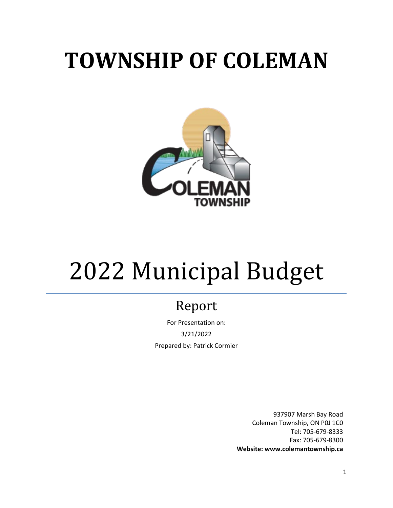# **TOWNSHIP OF COLEMAN**



# 2022 Municipal Budget

# Report

For Presentation on: 3/21/2022 Prepared by: Patrick Cormier

> 937907 Marsh Bay Road Coleman Township, ON P0J 1C0 Tel: 705-679-8333 Fax: 705-679-8300 **Website: www.colemantownship.ca**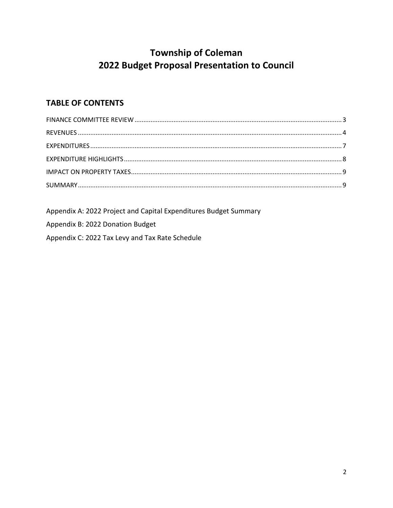# **Township of Coleman** 2022 Budget Proposal Presentation to Council

## **TABLE OF CONTENTS**

Appendix A: 2022 Project and Capital Expenditures Budget Summary

Appendix B: 2022 Donation Budget

Appendix C: 2022 Tax Levy and Tax Rate Schedule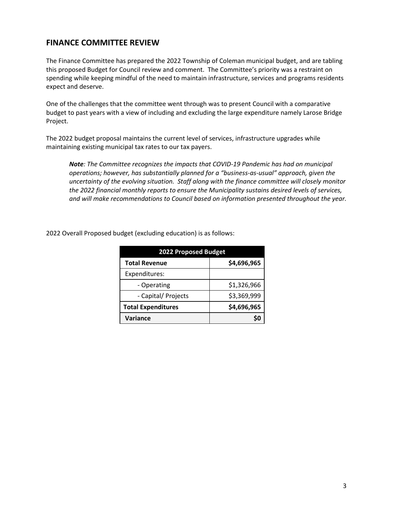#### <span id="page-2-0"></span>**FINANCE COMMITTEE REVIEW**

The Finance Committee has prepared the 2022 Township of Coleman municipal budget, and are tabling this proposed Budget for Council review and comment. The Committee's priority was a restraint on spending while keeping mindful of the need to maintain infrastructure, services and programs residents expect and deserve.

One of the challenges that the committee went through was to present Council with a comparative budget to past years with a view of including and excluding the large expenditure namely Larose Bridge Project.

The 2022 budget proposal maintains the current level of services, infrastructure upgrades while maintaining existing municipal tax rates to our tax payers.

*Note: The Committee recognizes the impacts that COVID-19 Pandemic has had on municipal operations; however, has substantially planned for a "business-as-usual" approach, given the uncertainty of the evolving situation. Staff along with the finance committee will closely monitor the 2022 financial monthly reports to ensure the Municipality sustains desired levels of services, and will make recommendations to Council based on information presented throughout the year.* 

| 2022 Proposed Budget      |             |  |  |  |  |  |  |
|---------------------------|-------------|--|--|--|--|--|--|
| <b>Total Revenue</b>      | \$4,696,965 |  |  |  |  |  |  |
| Expenditures:             |             |  |  |  |  |  |  |
| - Operating               | \$1,326,966 |  |  |  |  |  |  |
| - Capital/ Projects       | \$3,369,999 |  |  |  |  |  |  |
| <b>Total Expenditures</b> | \$4,696,965 |  |  |  |  |  |  |
| <b>Variance</b>           |             |  |  |  |  |  |  |

2022 Overall Proposed budget (excluding education) is as follows: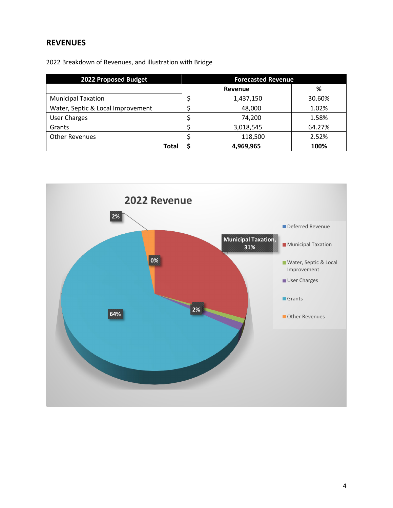### <span id="page-3-0"></span>**REVENUES**

2022 Breakdown of Revenues, and illustration with Bridge

| 2022 Proposed Budget              | <b>Forecasted Revenue</b> |           |        |  |  |  |
|-----------------------------------|---------------------------|-----------|--------|--|--|--|
|                                   |                           | Revenue   | %      |  |  |  |
| <b>Municipal Taxation</b>         |                           | 1,437,150 | 30.60% |  |  |  |
| Water, Septic & Local Improvement |                           | 48,000    | 1.02%  |  |  |  |
| <b>User Charges</b>               |                           | 74,200    | 1.58%  |  |  |  |
| Grants                            |                           | 3,018,545 | 64.27% |  |  |  |
| <b>Other Revenues</b>             |                           | 118,500   | 2.52%  |  |  |  |
| Total                             |                           | 4,969,965 | 100%   |  |  |  |

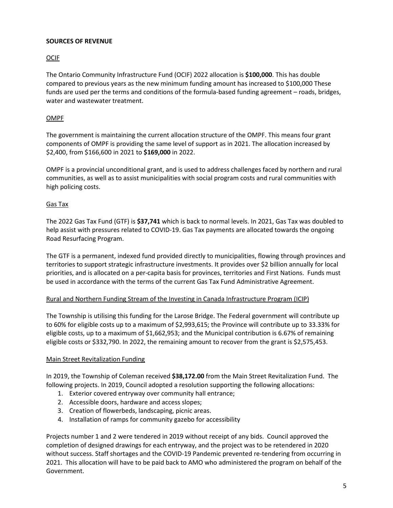#### **SOURCES OF REVENUE**

#### OCIF

The Ontario Community Infrastructure Fund (OCIF) 2022 allocation is **\$100,000**. This has double compared to previous years as the new minimum funding amount has increased to \$100,000 These funds are used per the terms and conditions of the formula-based funding agreement – roads, bridges, water and wastewater treatment.

#### OMPF

The government is maintaining the current allocation structure of the OMPF. This means four grant components of OMPF is providing the same level of support as in 2021. The allocation increased by \$2,400, from \$166,600 in 2021 to **\$169,000** in 2022.

OMPF is a provincial unconditional grant, and is used to address challenges faced by northern and rural communities, as well as to assist municipalities with social program costs and rural communities with high policing costs.

#### Gas Tax

The 2022 Gas Tax Fund (GTF) is **\$37,741** which is back to normal levels. In 2021, Gas Tax was doubled to help assist with pressures related to COVID-19. Gas Tax payments are allocated towards the ongoing Road Resurfacing Program.

The GTF is a permanent, indexed fund provided directly to municipalities, flowing through provinces and territories to support strategic infrastructure investments. It provides over \$2 billion annually for local priorities, and is allocated on a per-capita basis for provinces, territories and First Nations. Funds must be used in accordance with the terms of the current Gas Tax Fund Administrative Agreement.

#### Rural and Northern Funding Stream of the Investing in Canada Infrastructure Program (ICIP)

The Township is utilising this funding for the Larose Bridge. The Federal government will contribute up to 60% for eligible costs up to a maximum of \$2,993,615; the Province will contribute up to 33.33% for eligible costs, up to a maximum of \$1,662,953; and the Municipal contribution is 6.67% of remaining eligible costs or \$332,790. In 2022, the remaining amount to recover from the grant is \$2,575,453.

#### Main Street Revitalization Funding

In 2019, the Township of Coleman received **\$38,172.00** from the Main Street Revitalization Fund. The following projects. In 2019, Council adopted a resolution supporting the following allocations:

- 1. Exterior covered entryway over community hall entrance;
- 2. Accessible doors, hardware and access slopes;
- 3. Creation of flowerbeds, landscaping, picnic areas.
- 4. Installation of ramps for community gazebo for accessibility

Projects number 1 and 2 were tendered in 2019 without receipt of any bids. Council approved the completion of designed drawings for each entryway, and the project was to be retendered in 2020 without success. Staff shortages and the COVID-19 Pandemic prevented re-tendering from occurring in 2021. This allocation will have to be paid back to AMO who administered the program on behalf of the Government.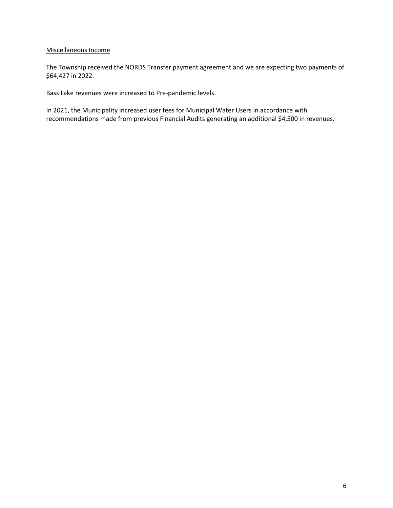#### Miscellaneous Income

The Township received the NORDS Transfer payment agreement and we are expecting two payments of \$64,427 in 2022.

Bass Lake revenues were increased to Pre-pandemic levels.

In 2021, the Municipality increased user fees for Municipal Water Users in accordance with recommendations made from previous Financial Audits generating an additional \$4,500 in revenues.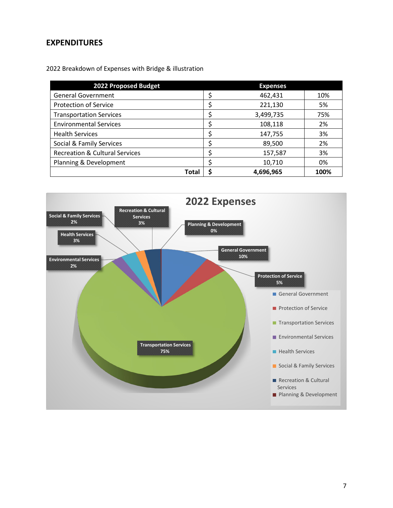#### <span id="page-6-0"></span>**EXPENDITURES**

2022 Breakdown of Expenses with Bridge & illustration

| 2022 Proposed Budget                      | <b>Expenses</b> |      |
|-------------------------------------------|-----------------|------|
| <b>General Government</b>                 | 462,431         | 10%  |
| <b>Protection of Service</b>              | 221,130         | 5%   |
| <b>Transportation Services</b>            | 3,499,735       | 75%  |
| <b>Environmental Services</b>             | 108,118         | 2%   |
| <b>Health Services</b>                    | 147,755         | 3%   |
| Social & Family Services                  | 89,500          | 2%   |
| <b>Recreation &amp; Cultural Services</b> | 157,587         | 3%   |
| Planning & Development                    | 10,710          | 0%   |
| <b>Total</b>                              | 4,696,965       | 100% |

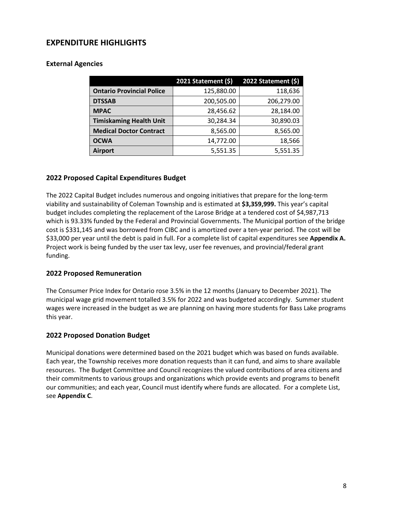#### <span id="page-7-0"></span>**EXPENDITURE HIGHLIGHTS**

#### **External Agencies**

|                                  | 2021 Statement (\$) | 2022 Statement (\$) |  |  |  |
|----------------------------------|---------------------|---------------------|--|--|--|
| <b>Ontario Provincial Police</b> | 125,880.00          | 118,636             |  |  |  |
| <b>DTSSAB</b>                    | 200,505.00          | 206,279.00          |  |  |  |
| <b>MPAC</b>                      | 28,456.62           | 28,184.00           |  |  |  |
| <b>Timiskaming Health Unit</b>   | 30,284.34           | 30,890.03           |  |  |  |
| <b>Medical Doctor Contract</b>   | 8,565.00            | 8,565.00            |  |  |  |
| <b>OCWA</b>                      | 14,772.00           | 18,566              |  |  |  |
| <b>Airport</b>                   | 5,551.35            | 5,551.35            |  |  |  |

#### **2022 Proposed Capital Expenditures Budget**

The 2022 Capital Budget includes numerous and ongoing initiatives that prepare for the long-term viability and sustainability of Coleman Township and is estimated at **\$3,359,999.** This year's capital budget includes completing the replacement of the Larose Bridge at a tendered cost of \$4,987,713 which is 93.33% funded by the Federal and Provincial Governments. The Municipal portion of the bridge cost is \$331,145 and was borrowed from CIBC and is amortized over a ten-year period. The cost will be \$33,000 per year until the debt is paid in full. For a complete list of capital expenditures see **Appendix A.**  Project work is being funded by the user tax levy, user fee revenues, and provincial/federal grant funding.

#### **2022 Proposed Remuneration**

The Consumer Price Index for Ontario rose 3.5% in the 12 months (January to December 2021). The municipal wage grid movement totalled 3.5% for 2022 and was budgeted accordingly. Summer student wages were increased in the budget as we are planning on having more students for Bass Lake programs this year.

#### **2022 Proposed Donation Budget**

Municipal donations were determined based on the 2021 budget which was based on funds available. Each year, the Township receives more donation requests than it can fund, and aims to share available resources. The Budget Committee and Council recognizes the valued contributions of area citizens and their commitments to various groups and organizations which provide events and programs to benefit our communities; and each year, Council must identify where funds are allocated. For a complete List, see **Appendix C**.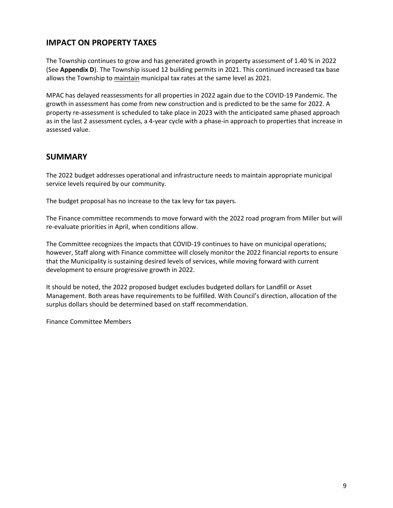#### <span id="page-8-0"></span>**IMPACT ON PROPERTY TAXES**

The Township continues to grow and has generated growth in property assessment of 1.40 % in 2022 (See **Appendix D**). The Township issued 12 building permits in 2021. This continued increased tax base allows the Township to maintain municipal tax rates at the same level as 2021.

MPAC has delayed reassessments for all properties in 2022 again due to the COVID-19 Pandemic. The growth in assessment has come from new construction and is predicted to be the same for 2022. A property re-assessment is scheduled to take place in 2023 with the anticipated same phased approach as in the last 2 assessment cycles, a 4-year cycle with a phase-in approach to properties that increase in assessed value.

#### <span id="page-8-1"></span>**SUMMARY**

The 2022 budget addresses operational and infrastructure needs to maintain appropriate municipal service levels required by our community.

The budget proposal has no increase to the tax levy for tax payers.

The Finance committee recommends to move forward with the 2022 road program from Miller but will re-evaluate priorities in April, when conditions allow.

The Committee recognizes the impacts that COVID-19 continues to have on municipal operations; however, Staff along with Finance committee will closely monitor the 2022 financial reports to ensure that the Municipality is sustaining desired levels of services, while moving forward with current development to ensure progressive growth in 2022.

It should be noted, the 2022 proposed budget excludes budgeted dollars for Landfill or Asset Management. Both areas have requirements to be fulfilled. With Council's direction, allocation of the surplus dollars should be determined based on staff recommendation.

Finance Committee Members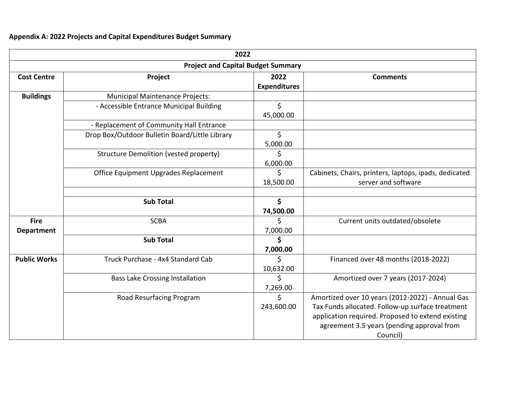# **Appendix A: 2022 Projects and Capital Expenditures Budget Summary**

| 2022<br><b>Project and Capital Budget Summary</b> |                                                |                  |                                                                                                                                                                                                                     |  |  |  |  |  |  |
|---------------------------------------------------|------------------------------------------------|------------------|---------------------------------------------------------------------------------------------------------------------------------------------------------------------------------------------------------------------|--|--|--|--|--|--|
|                                                   |                                                |                  |                                                                                                                                                                                                                     |  |  |  |  |  |  |
| <b>Buildings</b>                                  | <b>Municipal Maintenance Projects:</b>         |                  |                                                                                                                                                                                                                     |  |  |  |  |  |  |
|                                                   | - Accessible Entrance Municipal Building       | \$<br>45,000.00  |                                                                                                                                                                                                                     |  |  |  |  |  |  |
|                                                   | - Replacement of Community Hall Entrance       |                  |                                                                                                                                                                                                                     |  |  |  |  |  |  |
|                                                   | Drop Box/Outdoor Bulletin Board/Little Library | \$<br>5,000.00   |                                                                                                                                                                                                                     |  |  |  |  |  |  |
|                                                   | <b>Structure Demolition (vested property)</b>  | S<br>6,000.00    |                                                                                                                                                                                                                     |  |  |  |  |  |  |
|                                                   | Office Equipment Upgrades Replacement          | \$<br>18,500.00  | Cabinets, Chairs, printers, laptops, ipads, dedicated<br>server and software                                                                                                                                        |  |  |  |  |  |  |
|                                                   | <b>Sub Total</b>                               | \$<br>74,500.00  |                                                                                                                                                                                                                     |  |  |  |  |  |  |
| <b>Fire</b><br><b>Department</b>                  | <b>SCBA</b>                                    | \$<br>7,000.00   | Current units outdated/obsolete                                                                                                                                                                                     |  |  |  |  |  |  |
|                                                   | <b>Sub Total</b>                               | \$<br>7,000.00   |                                                                                                                                                                                                                     |  |  |  |  |  |  |
| <b>Public Works</b>                               | Truck Purchase - 4x4 Standard Cab              | Ś<br>10,632.00   | Financed over 48 months (2018-2022)                                                                                                                                                                                 |  |  |  |  |  |  |
|                                                   | <b>Bass Lake Crossing Installation</b>         | Ś<br>7,269.00    | Amortized over 7 years (2017-2024)                                                                                                                                                                                  |  |  |  |  |  |  |
|                                                   | Road Resurfacing Program                       | \$<br>243,600.00 | Amortized over 10 years (2012-2022) - Annual Gas<br>Tax Funds allocated. Follow-up surface treatment<br>application required. Proposed to extend existing<br>agreement 3.5 years (pending approval from<br>Council) |  |  |  |  |  |  |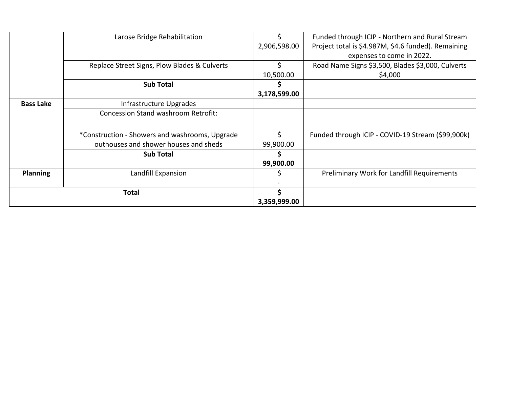|                  | Larose Bridge Rehabilitation                   |              | Funded through ICIP - Northern and Rural Stream     |
|------------------|------------------------------------------------|--------------|-----------------------------------------------------|
|                  |                                                | 2,906,598.00 | Project total is \$4.987M, \$4.6 funded). Remaining |
|                  |                                                |              | expenses to come in 2022.                           |
|                  | Replace Street Signs, Plow Blades & Culverts   | \$           | Road Name Signs \$3,500, Blades \$3,000, Culverts   |
|                  |                                                | 10,500.00    | \$4,000                                             |
|                  | <b>Sub Total</b>                               |              |                                                     |
|                  |                                                | 3,178,599.00 |                                                     |
| <b>Bass Lake</b> | Infrastructure Upgrades                        |              |                                                     |
|                  | <b>Concession Stand washroom Retrofit:</b>     |              |                                                     |
|                  |                                                |              |                                                     |
|                  | *Construction - Showers and washrooms, Upgrade | Ś.           | Funded through ICIP - COVID-19 Stream (\$99,900k)   |
|                  | outhouses and shower houses and sheds          | 99,900.00    |                                                     |
|                  | <b>Sub Total</b>                               | S            |                                                     |
|                  |                                                | 99,900.00    |                                                     |
| <b>Planning</b>  | Landfill Expansion                             |              | Preliminary Work for Landfill Requirements          |
|                  |                                                |              |                                                     |
|                  | <b>Total</b>                                   |              |                                                     |
|                  |                                                | 3,359,999.00 |                                                     |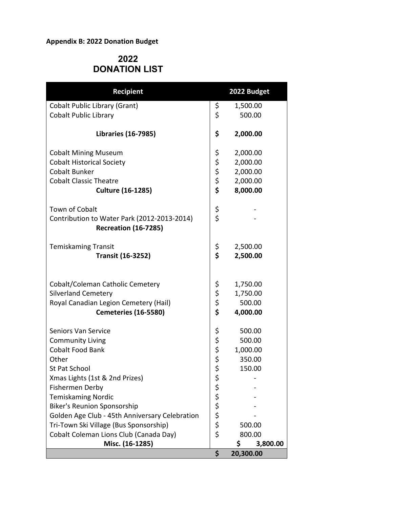#### **Appendix B: 2022 Donation Budget**

# **2022 DONATION LIST**

| <b>Recipient</b>                                                                                                                       |                      | 2022 Budget                                |
|----------------------------------------------------------------------------------------------------------------------------------------|----------------------|--------------------------------------------|
| <b>Cobalt Public Library (Grant)</b>                                                                                                   | \$                   | 1,500.00                                   |
| <b>Cobalt Public Library</b>                                                                                                           | \$                   | 500.00                                     |
| <b>Libraries (16-7985)</b>                                                                                                             | \$                   | 2,000.00                                   |
| <b>Cobalt Mining Museum</b>                                                                                                            | \$                   | 2,000.00                                   |
| <b>Cobalt Historical Society</b>                                                                                                       | \$                   | 2,000.00                                   |
| <b>Cobalt Bunker</b>                                                                                                                   | \$                   | 2,000.00                                   |
| <b>Cobalt Classic Theatre</b>                                                                                                          | \$                   | 2,000.00                                   |
| <b>Culture (16-1285)</b>                                                                                                               | \$                   | 8,000.00                                   |
| <b>Town of Cobalt</b>                                                                                                                  | \$                   |                                            |
| Contribution to Water Park (2012-2013-2014)<br><b>Recreation (16-7285)</b>                                                             | \$                   |                                            |
| <b>Temiskaming Transit</b>                                                                                                             | \$                   | 2,500.00                                   |
| <b>Transit (16-3252)</b>                                                                                                               | \$                   | 2,500.00                                   |
| Cobalt/Coleman Catholic Cemetery<br><b>Silverland Cemetery</b><br>Royal Canadian Legion Cemetery (Hail)<br><b>Cemeteries (16-5580)</b> | \$<br>\$<br>\$<br>\$ | 1,750.00<br>1,750.00<br>500.00<br>4,000.00 |
| <b>Seniors Van Service</b>                                                                                                             | \$                   | 500.00                                     |
| <b>Community Living</b>                                                                                                                | \$                   | 500.00                                     |
| <b>Cobalt Food Bank</b>                                                                                                                | \$                   | 1,000.00                                   |
| Other                                                                                                                                  | \$<br>\$             | 350.00                                     |
| St Pat School                                                                                                                          |                      | 150.00                                     |
| Xmas Lights (1st & 2nd Prizes)                                                                                                         | \$                   |                                            |
| Fishermen Derby                                                                                                                        | \$                   |                                            |
| <b>Temiskaming Nordic</b>                                                                                                              | \$                   |                                            |
| <b>Biker's Reunion Sponsorship</b>                                                                                                     | \$                   |                                            |
| Golden Age Club - 45th Anniversary Celebration                                                                                         | \$                   |                                            |
| Tri-Town Ski Village (Bus Sponsorship)                                                                                                 | \$                   | 500.00                                     |
| Cobalt Coleman Lions Club (Canada Day)                                                                                                 | \$                   | 800.00                                     |
| Misc. (16-1285)                                                                                                                        |                      | \$<br>3,800.00                             |
|                                                                                                                                        | \$                   | 20,300.00                                  |